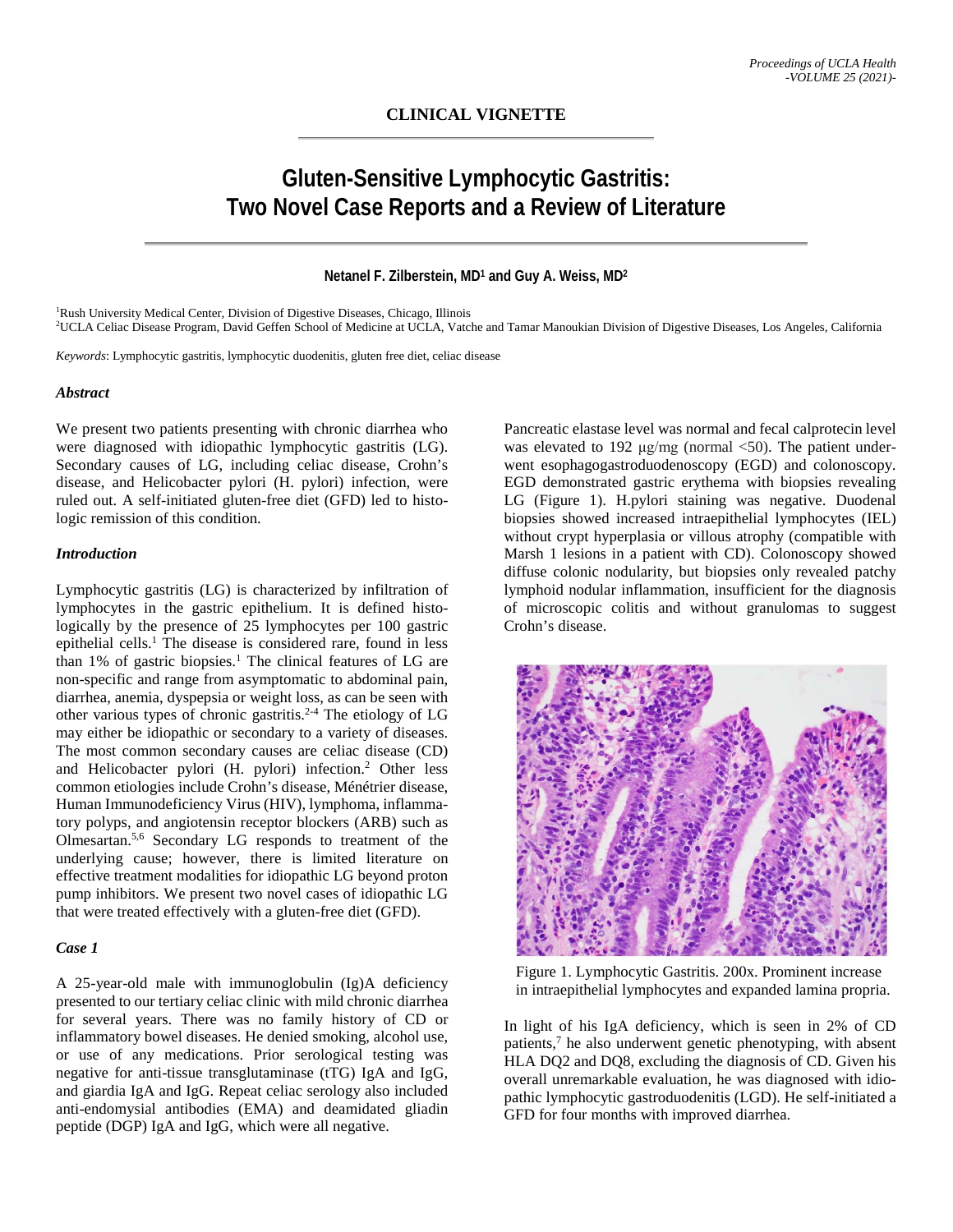# **Gluten-Sensitive Lymphocytic Gastritis: Two Novel Case Reports and a Review of Literature**

## **Netanel F. Zilberstein, MD1 and Guy A. Weiss, MD2**

<sup>1</sup>Rush University Medical Center, Division of Digestive Diseases, Chicago, Illinois 2 UCLA Celiac Disease Program, David Geffen School of Medicine at UCLA, Vatche and Tamar Manoukian Division of Digestive Diseases, Los Angeles, California

*Keywords*: Lymphocytic gastritis, lymphocytic duodenitis, gluten free diet, celiac disease

#### *Abstract*

We present two patients presenting with chronic diarrhea who were diagnosed with idiopathic lymphocytic gastritis (LG). Secondary causes of LG, including celiac disease, Crohn's disease, and Helicobacter pylori (H. pylori) infection, were ruled out. A self-initiated gluten-free diet (GFD) led to histologic remission of this condition.

#### *Introduction*

Lymphocytic gastritis (LG) is characterized by infiltration of lymphocytes in the gastric epithelium. It is defined histologically by the presence of 25 lymphocytes per 100 gastric epithelial cells. <sup>1</sup> The disease is considered rare, found in less than 1% of gastric biopsies. <sup>1</sup> The clinical features of LG are non-specific and range from asymptomatic to abdominal pain, diarrhea, anemia, dyspepsia or weight loss, as can be seen with other various types of chronic gastritis. 2-4 The etiology of LG may either be idiopathic or secondary to a variety of diseases. The most common secondary causes are celiac disease (CD) and Helicobacter pylori (H. pylori) infection. <sup>2</sup> Other less common etiologies include Crohn's disease, Ménétrier disease, Human Immunodeficiency Virus (HIV), lymphoma, inflammatory polyps, and angiotensin receptor blockers (ARB) such as Olmesartan.5,6 Secondary LG responds to treatment of the underlying cause; however, there is limited literature on effective treatment modalities for idiopathic LG beyond proton pump inhibitors. We present two novel cases of idiopathic LG that were treated effectively with a gluten-free diet (GFD).

### *Case 1*

A 25-year-old male with immunoglobulin (Ig)A deficiency presented to our tertiary celiac clinic with mild chronic diarrhea for several years. There was no family history of CD or inflammatory bowel diseases. He denied smoking, alcohol use, or use of any medications. Prior serological testing was negative for anti-tissue transglutaminase (tTG) IgA and IgG, and giardia IgA and IgG. Repeat celiac serology also included anti-endomysial antibodies (EMA) and deamidated gliadin peptide (DGP) IgA and IgG, which were all negative.

Pancreatic elastase level was normal and fecal calprotecin level was elevated to 192  $\mu$ g/mg (normal <50). The patient underwent esophagogastroduodenoscopy (EGD) and colonoscopy. EGD demonstrated gastric erythema with biopsies revealing LG (Figure 1). H.pylori staining was negative. Duodenal biopsies showed increased intraepithelial lymphocytes (IEL) without crypt hyperplasia or villous atrophy (compatible with Marsh 1 lesions in a patient with CD). Colonoscopy showed diffuse colonic nodularity, but biopsies only revealed patchy lymphoid nodular inflammation, insufficient for the diagnosis of microscopic colitis and without granulomas to suggest Crohn's disease.



 Figure 1. Lymphocytic Gastritis. 200x. Prominent increase in intraepithelial lymphocytes and expanded lamina propria.

In light of his IgA deficiency, which is seen in 2% of CD patients, <sup>7</sup> he also underwent genetic phenotyping, with absent HLA DQ2 and DQ8, excluding the diagnosis of CD. Given his overall unremarkable evaluation, he was diagnosed with idiopathic lymphocytic gastroduodenitis (LGD). He self-initiated a GFD for four months with improved diarrhea.